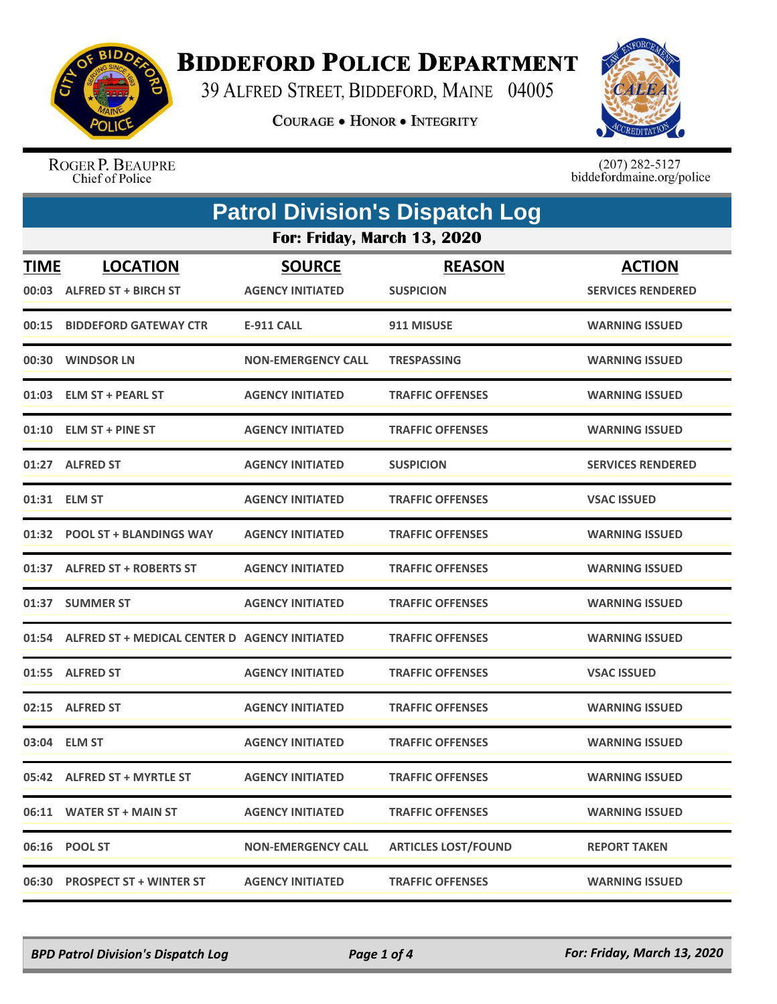

## **BIDDEFORD POLICE DEPARTMENT**

39 ALFRED STREET, BIDDEFORD, MAINE 04005

**COURAGE . HONOR . INTEGRITY** 



ROGER P. BEAUPRE<br>Chief of Police

 $(207)$  282-5127<br>biddefordmaine.org/police

| <b>Patrol Division's Dispatch Log</b> |                                               |                                          |                                   |                                           |  |
|---------------------------------------|-----------------------------------------------|------------------------------------------|-----------------------------------|-------------------------------------------|--|
| <b>For: Friday, March 13, 2020</b>    |                                               |                                          |                                   |                                           |  |
| <b>TIME</b>                           | <b>LOCATION</b><br>00:03 ALFRED ST + BIRCH ST | <b>SOURCE</b><br><b>AGENCY INITIATED</b> | <b>REASON</b><br><b>SUSPICION</b> | <b>ACTION</b><br><b>SERVICES RENDERED</b> |  |
|                                       | 00:15 BIDDEFORD GATEWAY CTR                   | <b>E-911 CALL</b>                        | 911 MISUSE                        | <b>WARNING ISSUED</b>                     |  |
|                                       | 00:30 WINDSOR LN                              | <b>NON-EMERGENCY CALL</b>                | <b>TRESPASSING</b>                | <b>WARNING ISSUED</b>                     |  |
| 01:03                                 | <b>ELM ST + PEARL ST</b>                      | <b>AGENCY INITIATED</b>                  | <b>TRAFFIC OFFENSES</b>           | <b>WARNING ISSUED</b>                     |  |
|                                       | 01:10 ELM ST + PINE ST                        | <b>AGENCY INITIATED</b>                  | <b>TRAFFIC OFFENSES</b>           | <b>WARNING ISSUED</b>                     |  |
|                                       | 01:27 ALFRED ST                               | <b>AGENCY INITIATED</b>                  | <b>SUSPICION</b>                  | <b>SERVICES RENDERED</b>                  |  |
|                                       | 01:31 ELM ST                                  | <b>AGENCY INITIATED</b>                  | <b>TRAFFIC OFFENSES</b>           | <b>VSAC ISSUED</b>                        |  |
|                                       | 01:32 POOL ST + BLANDINGS WAY                 | <b>AGENCY INITIATED</b>                  | <b>TRAFFIC OFFENSES</b>           | <b>WARNING ISSUED</b>                     |  |
|                                       | 01:37 ALFRED ST + ROBERTS ST                  | <b>AGENCY INITIATED</b>                  | <b>TRAFFIC OFFENSES</b>           | <b>WARNING ISSUED</b>                     |  |
|                                       | 01:37 SUMMER ST                               | <b>AGENCY INITIATED</b>                  | <b>TRAFFIC OFFENSES</b>           | <b>WARNING ISSUED</b>                     |  |
| 01:54                                 | ALFRED ST + MEDICAL CENTER D AGENCY INITIATED |                                          | <b>TRAFFIC OFFENSES</b>           | <b>WARNING ISSUED</b>                     |  |
|                                       | 01:55 ALFRED ST                               | <b>AGENCY INITIATED</b>                  | <b>TRAFFIC OFFENSES</b>           | <b>VSAC ISSUED</b>                        |  |
|                                       | 02:15 ALFRED ST                               | <b>AGENCY INITIATED</b>                  | <b>TRAFFIC OFFENSES</b>           | <b>WARNING ISSUED</b>                     |  |
|                                       | 03:04 ELM ST                                  | <b>AGENCY INITIATED</b>                  | <b>TRAFFIC OFFENSES</b>           | <b>WARNING ISSUED</b>                     |  |
|                                       | 05:42 ALFRED ST + MYRTLE ST                   | <b>AGENCY INITIATED</b>                  | <b>TRAFFIC OFFENSES</b>           | <b>WARNING ISSUED</b>                     |  |
|                                       | 06:11 WATER ST + MAIN ST                      | <b>AGENCY INITIATED</b>                  | <b>TRAFFIC OFFENSES</b>           | <b>WARNING ISSUED</b>                     |  |
|                                       | 06:16 POOL ST                                 | <b>NON-EMERGENCY CALL</b>                | <b>ARTICLES LOST/FOUND</b>        | <b>REPORT TAKEN</b>                       |  |
|                                       | 06:30 PROSPECT ST + WINTER ST                 | <b>AGENCY INITIATED</b>                  | <b>TRAFFIC OFFENSES</b>           | <b>WARNING ISSUED</b>                     |  |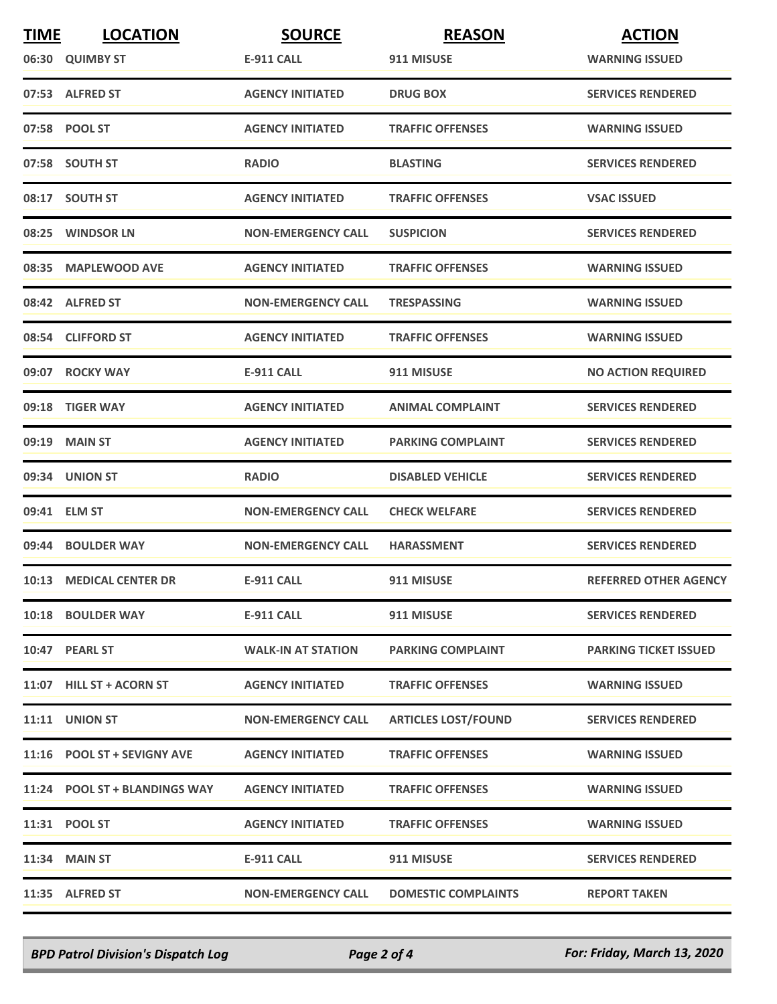| <b>TIME</b> | <b>LOCATION</b>               | <b>SOURCE</b>             | <b>REASON</b>              | <b>ACTION</b>                |
|-------------|-------------------------------|---------------------------|----------------------------|------------------------------|
|             | 06:30 QUIMBY ST               | <b>E-911 CALL</b>         | 911 MISUSE                 | <b>WARNING ISSUED</b>        |
|             | 07:53 ALFRED ST               | <b>AGENCY INITIATED</b>   | <b>DRUG BOX</b>            | <b>SERVICES RENDERED</b>     |
|             | 07:58 POOL ST                 | <b>AGENCY INITIATED</b>   | <b>TRAFFIC OFFENSES</b>    | <b>WARNING ISSUED</b>        |
|             | 07:58 SOUTH ST                | <b>RADIO</b>              | <b>BLASTING</b>            | <b>SERVICES RENDERED</b>     |
|             | 08:17 SOUTH ST                | <b>AGENCY INITIATED</b>   | <b>TRAFFIC OFFENSES</b>    | <b>VSAC ISSUED</b>           |
|             | 08:25 WINDSOR LN              | <b>NON-EMERGENCY CALL</b> | <b>SUSPICION</b>           | <b>SERVICES RENDERED</b>     |
| 08:35       | <b>MAPLEWOOD AVE</b>          | <b>AGENCY INITIATED</b>   | <b>TRAFFIC OFFENSES</b>    | <b>WARNING ISSUED</b>        |
|             | 08:42 ALFRED ST               | <b>NON-EMERGENCY CALL</b> | <b>TRESPASSING</b>         | <b>WARNING ISSUED</b>        |
|             | 08:54 CLIFFORD ST             | <b>AGENCY INITIATED</b>   | <b>TRAFFIC OFFENSES</b>    | <b>WARNING ISSUED</b>        |
|             | 09:07 ROCKY WAY               | <b>E-911 CALL</b>         | 911 MISUSE                 | <b>NO ACTION REQUIRED</b>    |
|             | 09:18 TIGER WAY               | <b>AGENCY INITIATED</b>   | <b>ANIMAL COMPLAINT</b>    | <b>SERVICES RENDERED</b>     |
|             | 09:19 MAIN ST                 | <b>AGENCY INITIATED</b>   | <b>PARKING COMPLAINT</b>   | <b>SERVICES RENDERED</b>     |
|             | 09:34 UNION ST                | <b>RADIO</b>              | <b>DISABLED VEHICLE</b>    | <b>SERVICES RENDERED</b>     |
|             | 09:41 ELM ST                  | <b>NON-EMERGENCY CALL</b> | <b>CHECK WELFARE</b>       | <b>SERVICES RENDERED</b>     |
|             | 09:44 BOULDER WAY             | <b>NON-EMERGENCY CALL</b> | <b>HARASSMENT</b>          | <b>SERVICES RENDERED</b>     |
|             | 10:13 MEDICAL CENTER DR       | <b>E-911 CALL</b>         | 911 MISUSE                 | <b>REFERRED OTHER AGENCY</b> |
|             | 10:18 BOULDER WAY             | E-911 CALL                | 911 MISUSE                 | <b>SERVICES RENDERED</b>     |
|             | 10:47 PEARL ST                | <b>WALK-IN AT STATION</b> | <b>PARKING COMPLAINT</b>   | <b>PARKING TICKET ISSUED</b> |
|             | 11:07 HILL ST + ACORN ST      | <b>AGENCY INITIATED</b>   | <b>TRAFFIC OFFENSES</b>    | <b>WARNING ISSUED</b>        |
|             | <b>11:11 UNION ST</b>         | <b>NON-EMERGENCY CALL</b> | <b>ARTICLES LOST/FOUND</b> | <b>SERVICES RENDERED</b>     |
|             | 11:16 POOL ST + SEVIGNY AVE   | <b>AGENCY INITIATED</b>   | <b>TRAFFIC OFFENSES</b>    | <b>WARNING ISSUED</b>        |
|             | 11:24 POOL ST + BLANDINGS WAY | <b>AGENCY INITIATED</b>   | <b>TRAFFIC OFFENSES</b>    | <b>WARNING ISSUED</b>        |
|             | 11:31 POOL ST                 | <b>AGENCY INITIATED</b>   | <b>TRAFFIC OFFENSES</b>    | <b>WARNING ISSUED</b>        |
|             | 11:34 MAIN ST                 | E-911 CALL                | 911 MISUSE                 | <b>SERVICES RENDERED</b>     |
|             | 11:35 ALFRED ST               | <b>NON-EMERGENCY CALL</b> | <b>DOMESTIC COMPLAINTS</b> | <b>REPORT TAKEN</b>          |

*BPD Patrol Division's Dispatch Log Page 2 of 4 For: Friday, March 13, 2020*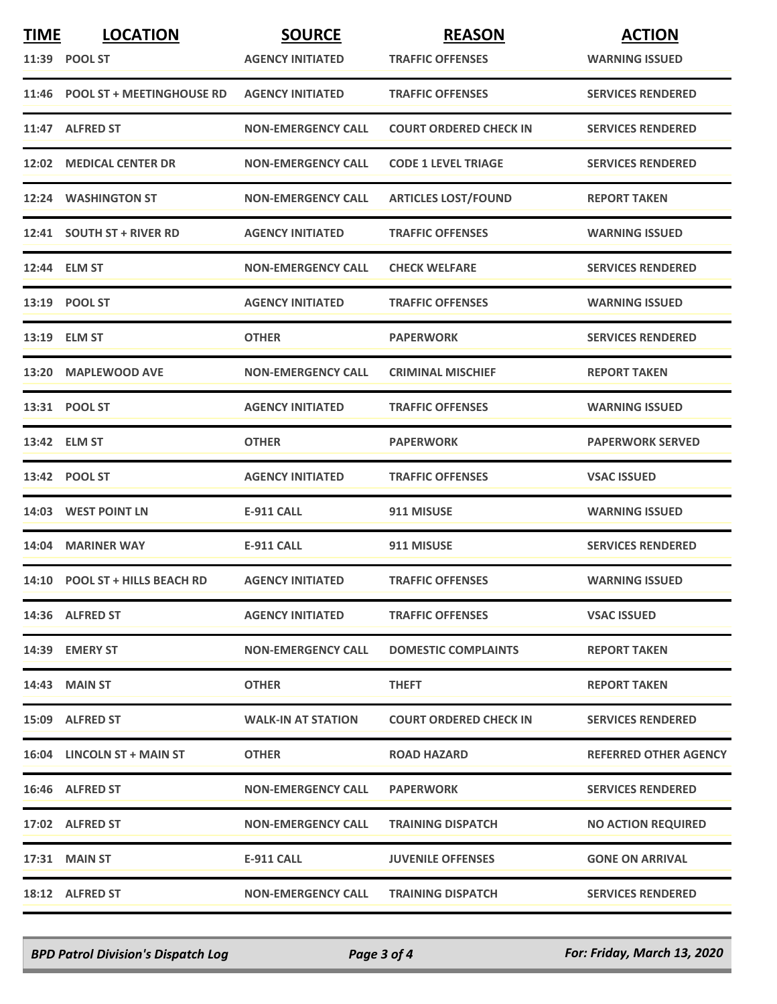| <b>TIME</b> | <b>LOCATION</b>                 | <b>SOURCE</b>             | <b>REASON</b>                 | <b>ACTION</b>                |
|-------------|---------------------------------|---------------------------|-------------------------------|------------------------------|
|             | 11:39 POOL ST                   | <b>AGENCY INITIATED</b>   | <b>TRAFFIC OFFENSES</b>       | <b>WARNING ISSUED</b>        |
|             | 11:46 POOL ST + MEETINGHOUSE RD | <b>AGENCY INITIATED</b>   | <b>TRAFFIC OFFENSES</b>       | <b>SERVICES RENDERED</b>     |
|             | 11:47 ALFRED ST                 | <b>NON-EMERGENCY CALL</b> | <b>COURT ORDERED CHECK IN</b> | <b>SERVICES RENDERED</b>     |
|             | 12:02 MEDICAL CENTER DR         | <b>NON-EMERGENCY CALL</b> | <b>CODE 1 LEVEL TRIAGE</b>    | <b>SERVICES RENDERED</b>     |
|             | 12:24 WASHINGTON ST             | <b>NON-EMERGENCY CALL</b> | <b>ARTICLES LOST/FOUND</b>    | <b>REPORT TAKEN</b>          |
|             | 12:41 SOUTH ST + RIVER RD       | <b>AGENCY INITIATED</b>   | <b>TRAFFIC OFFENSES</b>       | <b>WARNING ISSUED</b>        |
|             | 12:44 ELM ST                    | <b>NON-EMERGENCY CALL</b> | <b>CHECK WELFARE</b>          | <b>SERVICES RENDERED</b>     |
|             | 13:19 POOL ST                   | <b>AGENCY INITIATED</b>   | <b>TRAFFIC OFFENSES</b>       | <b>WARNING ISSUED</b>        |
|             | 13:19 ELM ST                    | <b>OTHER</b>              | <b>PAPERWORK</b>              | <b>SERVICES RENDERED</b>     |
|             | 13:20 MAPLEWOOD AVE             | <b>NON-EMERGENCY CALL</b> | <b>CRIMINAL MISCHIEF</b>      | <b>REPORT TAKEN</b>          |
|             | 13:31 POOL ST                   | <b>AGENCY INITIATED</b>   | <b>TRAFFIC OFFENSES</b>       | <b>WARNING ISSUED</b>        |
|             | 13:42 ELM ST                    | <b>OTHER</b>              | <b>PAPERWORK</b>              | <b>PAPERWORK SERVED</b>      |
|             | 13:42 POOL ST                   | <b>AGENCY INITIATED</b>   | <b>TRAFFIC OFFENSES</b>       | <b>VSAC ISSUED</b>           |
|             | 14:03 WEST POINT LN             | <b>E-911 CALL</b>         | 911 MISUSE                    | <b>WARNING ISSUED</b>        |
|             | 14:04 MARINER WAY               | <b>E-911 CALL</b>         | 911 MISUSE                    | <b>SERVICES RENDERED</b>     |
|             | 14:10 POOL ST + HILLS BEACH RD  | <b>AGENCY INITIATED</b>   | <b>TRAFFIC OFFENSES</b>       | <b>WARNING ISSUED</b>        |
|             | 14:36 ALFRED ST                 | <b>AGENCY INITIATED</b>   | <b>TRAFFIC OFFENSES</b>       | <b>VSAC ISSUED</b>           |
|             | 14:39 EMERY ST                  | <b>NON-EMERGENCY CALL</b> | <b>DOMESTIC COMPLAINTS</b>    | <b>REPORT TAKEN</b>          |
|             | 14:43 MAIN ST                   | <b>OTHER</b>              | <b>THEFT</b>                  | <b>REPORT TAKEN</b>          |
|             | 15:09 ALFRED ST                 | <b>WALK-IN AT STATION</b> | <b>COURT ORDERED CHECK IN</b> | <b>SERVICES RENDERED</b>     |
|             | 16:04 LINCOLN ST + MAIN ST      | <b>OTHER</b>              | <b>ROAD HAZARD</b>            | <b>REFERRED OTHER AGENCY</b> |
|             | 16:46 ALFRED ST                 | <b>NON-EMERGENCY CALL</b> | <b>PAPERWORK</b>              | <b>SERVICES RENDERED</b>     |
|             | 17:02 ALFRED ST                 | <b>NON-EMERGENCY CALL</b> | <b>TRAINING DISPATCH</b>      | <b>NO ACTION REQUIRED</b>    |
|             | 17:31 MAIN ST                   | E-911 CALL                | <b>JUVENILE OFFENSES</b>      | <b>GONE ON ARRIVAL</b>       |
|             | 18:12 ALFRED ST                 | <b>NON-EMERGENCY CALL</b> | <b>TRAINING DISPATCH</b>      | <b>SERVICES RENDERED</b>     |

*BPD Patrol Division's Dispatch Log Page 3 of 4 For: Friday, March 13, 2020*